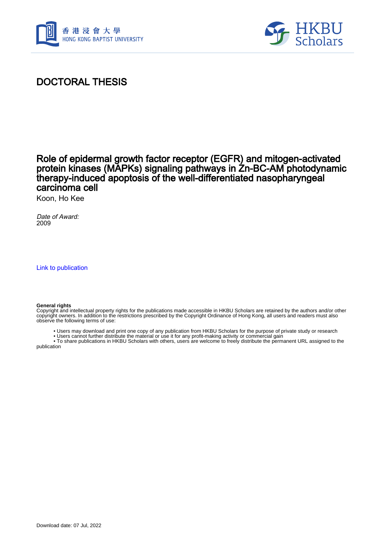



## DOCTORAL THESIS

## Role of epidermal growth factor receptor (EGFR) and mitogen-activated protein kinases (MAPKs) signaling pathways in Zn-BC-AM photodynamic therapy-induced apoptosis of the well-differentiated nasopharyngeal carcinoma cell

Koon, Ho Kee

Date of Award: 2009

[Link to publication](https://scholars.hkbu.edu.hk/en/studentTheses/5dfae359-a48d-41ce-96f3-79cb708aca05)

#### **General rights**

Copyright and intellectual property rights for the publications made accessible in HKBU Scholars are retained by the authors and/or other copyright owners. In addition to the restrictions prescribed by the Copyright Ordinance of Hong Kong, all users and readers must also observe the following terms of use:

• Users may download and print one copy of any publication from HKBU Scholars for the purpose of private study or research

• Users cannot further distribute the material or use it for any profit-making activity or commercial gain

 • To share publications in HKBU Scholars with others, users are welcome to freely distribute the permanent URL assigned to the publication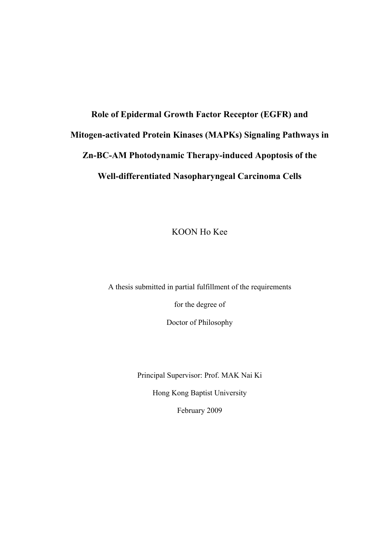# **Role of Epidermal Growth Factor Receptor (EGFR) and Mitogen-activated Protein Kinases (MAPKs) Signaling Pathways in Zn-BC-AM Photodynamic Therapy-induced Apoptosis of the Well-differentiated Nasopharyngeal Carcinoma Cells**

KOON Ho Kee

A thesis submitted in partial fulfillment of the requirements

for the degree of

Doctor of Philosophy

Principal Supervisor: Prof. MAK Nai Ki

Hong Kong Baptist University

February 2009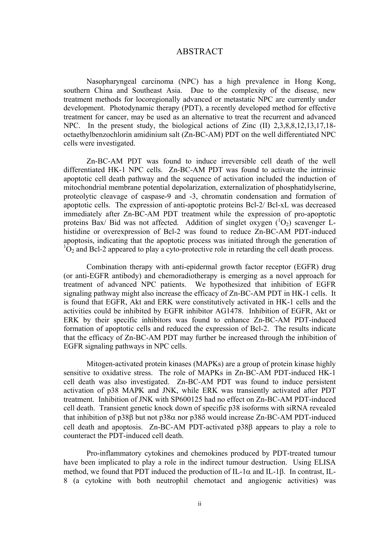### ABSTRACT

Nasopharyngeal carcinoma (NPC) has a high prevalence in Hong Kong, southern China and Southeast Asia. Due to the complexity of the disease, new treatment methods for locoregionally advanced or metastatic NPC are currently under development. Photodynamic therapy (PDT), a recently developed method for effective treatment for cancer, may be used as an alternative to treat the recurrent and advanced NPC. In the present study, the biological actions of Zinc (II) 2,3,8,8,12,13,17,18 octaethylbenzochlorin amidinium salt (Zn-BC-AM) PDT on the well differentiated NPC cells were investigated.

Zn-BC-AM PDT was found to induce irreversible cell death of the well differentiated HK-1 NPC cells. Zn-BC-AM PDT was found to activate the intrinsic apoptotic cell death pathway and the sequence of activation included the induction of mitochondrial membrane potential depolarization, externalization of phosphatidylserine, proteolytic cleavage of caspase-9 and -3, chromatin condensation and formation of apoptotic cells. The expression of anti-apoptotic proteins Bcl-2/ Bcl-xL was decreased immediately after Zn-BC-AM PDT treatment while the expression of pro-apoptotic proteins Bax/ Bid was not affected. Addition of singlet oxygen  $(^1O_2)$  scavenger Lhistidine or overexpression of Bcl-2 was found to reduce Zn-BC-AM PDT-induced apoptosis, indicating that the apoptotic process was initiated through the generation of  ${}^{1}O_{2}$  and Bcl-2 appeared to play a cyto-protective role in retarding the cell death process.

Combination therapy with anti-epidermal growth factor receptor (EGFR) drug (or anti-EGFR antibody) and chemoradiotherapy is emerging as a novel approach for treatment of advanced NPC patients. We hypothesized that inhibition of EGFR signaling pathway might also increase the efficacy of Zn-BC-AM PDT in HK-1 cells. It is found that EGFR, Akt and ERK were constitutively activated in HK-1 cells and the activities could be inhibited by EGFR inhibitor AG1478. Inhibition of EGFR, Akt or ERK by their specific inhibitors was found to enhance Zn-BC-AM PDT-induced formation of apoptotic cells and reduced the expression of Bcl-2. The results indicate that the efficacy of Zn-BC-AM PDT may further be increased through the inhibition of EGFR signaling pathways in NPC cells.

Mitogen-activated protein kinases (MAPKs) are a group of protein kinase highly sensitive to oxidative stress. The role of MAPKs in Zn-BC-AM PDT-induced HK-1 cell death was also investigated. Zn-BC-AM PDT was found to induce persistent activation of p38 MAPK and JNK, while ERK was transiently activated after PDT treatment. Inhibition of JNK with SP600125 had no effect on Zn-BC-AM PDT-induced cell death. Transient genetic knock down of specific p38 isoforms with siRNA revealed that inhibition of p38β but not p38α nor p38δ would increase Zn-BC-AM PDT-induced cell death and apoptosis. Zn-BC-AM PDT-activated p38β appears to play a role to counteract the PDT-induced cell death.

Pro-inflammatory cytokines and chemokines produced by PDT-treated tumour have been implicated to play a role in the indirect tumour destruction. Using ELISA method, we found that PDT induced the production of IL-1 $\alpha$  and IL-1 $\beta$ . In contrast, IL-8 (a cytokine with both neutrophil chemotact and angiogenic activities) was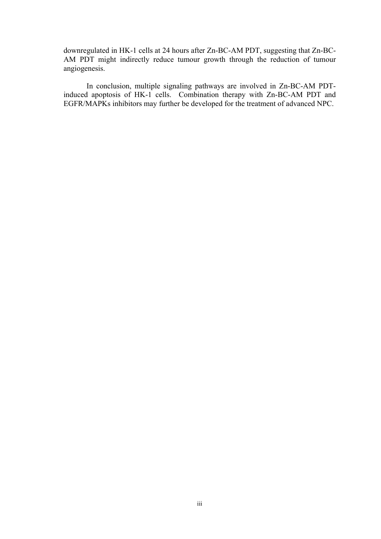downregulated in HK-1 cells at 24 hours after Zn-BC-AM PDT, suggesting that Zn-BC-AM PDT might indirectly reduce tumour growth through the reduction of tumour angiogenesis.

In conclusion, multiple signaling pathways are involved in Zn-BC-AM PDTinduced apoptosis of HK-1 cells. Combination therapy with Zn-BC-AM PDT and EGFR/MAPKs inhibitors may further be developed for the treatment of advanced NPC.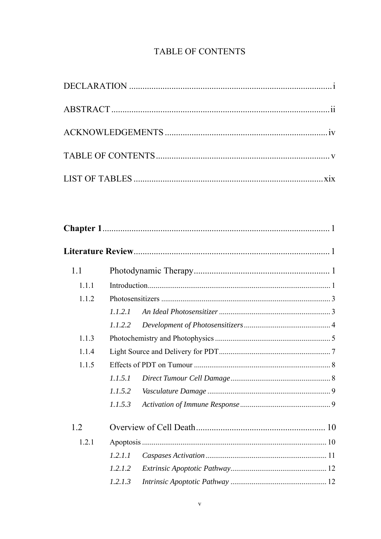## TABLE OF CONTENTS

| 1.1   |         |  |  |
|-------|---------|--|--|
| 1.1.1 |         |  |  |
| 1.1.2 |         |  |  |
|       | 1.1.2.1 |  |  |
|       | 1.1.2.2 |  |  |
| 1.1.3 |         |  |  |
| 1.1.4 |         |  |  |
| 1.1.5 |         |  |  |
|       | 1.1.5.1 |  |  |
|       | 1.1.5.2 |  |  |
|       | 1.1.5.3 |  |  |
| 1.2   |         |  |  |
| 1.2.1 |         |  |  |
|       | 1.2.1.1 |  |  |
|       | 1.2.1.2 |  |  |
|       | 1.2.1.3 |  |  |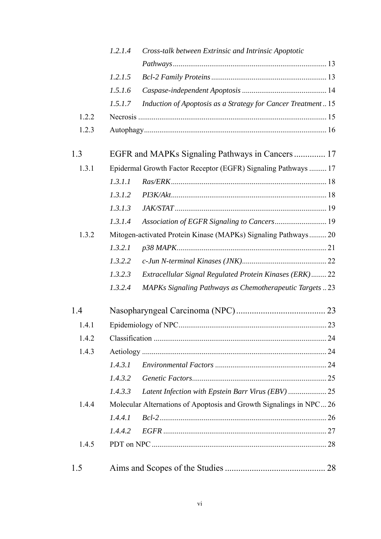|       | 1.2.1.4    | Cross-talk between Extrinsic and Intrinsic Apoptotic               |  |
|-------|------------|--------------------------------------------------------------------|--|
|       |            |                                                                    |  |
|       | 1.2.1.5    |                                                                    |  |
|       | 1.5.1.6    |                                                                    |  |
|       | 1.5.1.7    | Induction of Apoptosis as a Strategy for Cancer Treatment 15       |  |
| 1.2.2 |            |                                                                    |  |
| 1.2.3 |            |                                                                    |  |
| 1.3   |            | EGFR and MAPKs Signaling Pathways in Cancers 17                    |  |
| 1.3.1 |            | Epidermal Growth Factor Receptor (EGFR) Signaling Pathways  17     |  |
|       | 1.3.1.1    |                                                                    |  |
|       | 1.3.1.2    |                                                                    |  |
|       | 1.3.1.3    |                                                                    |  |
|       | 1.3.1.4    | Association of EGFR Signaling to Cancers 19                        |  |
| 1.3.2 |            | Mitogen-activated Protein Kinase (MAPKs) Signaling Pathways 20     |  |
|       | 1.3.2.1    |                                                                    |  |
|       | 1.3.2.2    |                                                                    |  |
|       | 1.3.2.3    | Extracellular Signal Regulated Protein Kinases (ERK) 22            |  |
|       | 1.3.2.4    | <b>MAPKs Signaling Pathways as Chemotherapeutic Targets23</b>      |  |
| 1.4   |            |                                                                    |  |
| 1.4.1 |            |                                                                    |  |
| 1.4.2 |            |                                                                    |  |
| 1.4.3 |            |                                                                    |  |
|       | 1, 4, 3, 1 |                                                                    |  |
|       | 1.4.3.2    |                                                                    |  |
|       | 1.4.3.3    |                                                                    |  |
| 1.4.4 |            | Molecular Alternations of Apoptosis and Growth Signalings in NPC26 |  |
|       | 1.4.4.1    |                                                                    |  |
|       | 1.4.4.2    |                                                                    |  |
| 1.4.5 |            |                                                                    |  |
| 1.5   |            |                                                                    |  |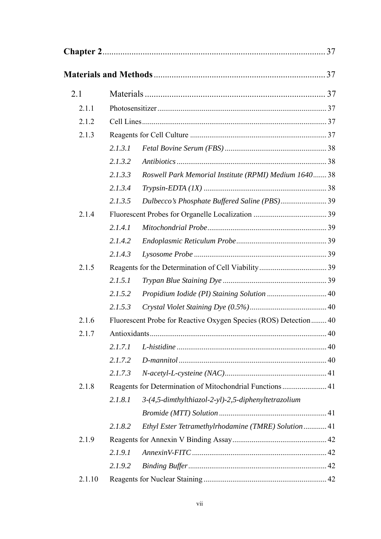| 2.1    |         |                                                                  |  |
|--------|---------|------------------------------------------------------------------|--|
| 2.1.1  |         |                                                                  |  |
| 2.1.2  |         |                                                                  |  |
| 2.1.3  |         |                                                                  |  |
|        | 2.1.3.1 |                                                                  |  |
|        | 2.1.3.2 |                                                                  |  |
|        | 2.1.3.3 | Roswell Park Memorial Institute (RPMI) Medium 1640 38            |  |
|        | 2.1.3.4 |                                                                  |  |
|        | 2.1.3.5 | Dulbecco's Phosphate Buffered Saline (PBS)39                     |  |
| 2.1.4  |         |                                                                  |  |
|        | 2.1.4.1 |                                                                  |  |
|        | 2.1.4.2 |                                                                  |  |
|        | 2.1.4.3 |                                                                  |  |
| 2.1.5  |         |                                                                  |  |
|        | 2.1.5.1 |                                                                  |  |
|        | 2.1.5.2 |                                                                  |  |
|        | 2.1.5.3 |                                                                  |  |
| 2.1.6  |         | Fluorescent Probe for Reactive Oxygen Species (ROS) Detection 40 |  |
| 2.1.7  |         |                                                                  |  |
|        | 2.1.7.1 |                                                                  |  |
|        | 2.1.7.2 |                                                                  |  |
|        | 2.1.7.3 |                                                                  |  |
| 2.1.8  |         | Reagents for Determination of Mitochondrial Functions 41         |  |
|        | 2.1.8.1 | 3-(4,5-dimthylthiazol-2-yl)-2,5-diphenyltetrazolium              |  |
|        |         |                                                                  |  |
|        | 2.1.8.2 | Ethyl Ester Tetramethylrhodamine (TMRE) Solution  41             |  |
| 2.1.9  |         |                                                                  |  |
|        | 2.1.9.1 |                                                                  |  |
|        | 2.1.9.2 |                                                                  |  |
| 2.1.10 |         |                                                                  |  |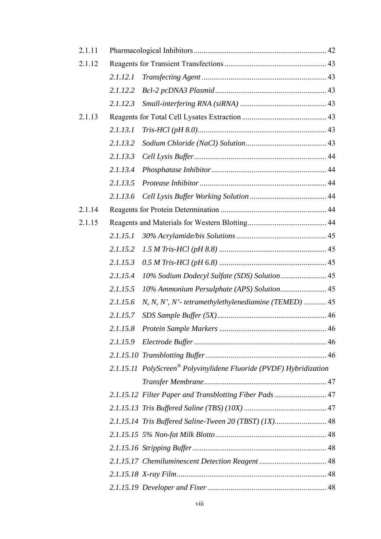| 2.1.11 |          |                                                                    |  |
|--------|----------|--------------------------------------------------------------------|--|
| 2.1.12 |          |                                                                    |  |
|        | 2.1.12.1 |                                                                    |  |
|        | 2.1.12.2 |                                                                    |  |
|        | 2.1.12.3 |                                                                    |  |
| 2.1.13 |          |                                                                    |  |
|        | 2.1.13.1 |                                                                    |  |
|        | 2.1.13.2 |                                                                    |  |
|        | 2.1.13.3 |                                                                    |  |
|        | 2.1.13.4 |                                                                    |  |
|        | 2.1.13.5 |                                                                    |  |
|        | 2.1.13.6 |                                                                    |  |
| 2.1.14 |          |                                                                    |  |
| 2.1.15 |          |                                                                    |  |
|        | 2.1.15.1 |                                                                    |  |
|        | 2.1.15.2 |                                                                    |  |
|        | 2.1.15.3 |                                                                    |  |
|        | 2.1.15.4 | 10% Sodium Dodecyl Sulfate (SDS) Solution 45                       |  |
|        | 2.1.15.5 | 10% Ammonium Persulphate (APS) Solution 45                         |  |
|        | 2.1.15.6 | $N, N, N', N'$ - tetramethylethylenediamine (TEMED)  45            |  |
|        | 2.1.15.7 |                                                                    |  |
|        | 2.1.15.8 |                                                                    |  |
|        | 2.1.15.9 |                                                                    |  |
|        |          |                                                                    |  |
|        |          | 2.1.15.11 PolyScreen® Polyvinylidene Fluoride (PVDF) Hybridization |  |
|        |          |                                                                    |  |
|        |          | 2.1.15.12 Filter Paper and Transblotting Fiber Pads  47            |  |
|        |          |                                                                    |  |
|        |          | 2.1.15.14 Tris Buffered Saline-Tween 20 (TBST) (1X) 48             |  |
|        |          |                                                                    |  |
|        |          |                                                                    |  |
|        |          |                                                                    |  |
|        |          |                                                                    |  |
|        |          |                                                                    |  |
|        |          |                                                                    |  |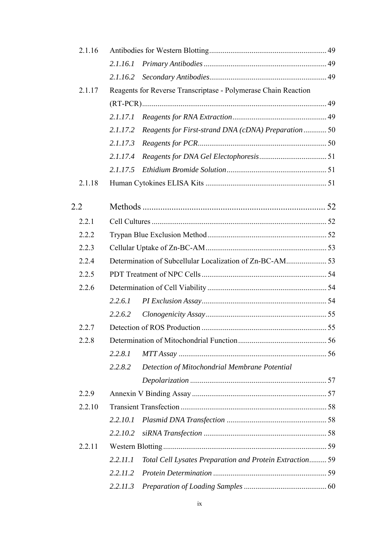| 2.1.16 |          |                                                                |  |
|--------|----------|----------------------------------------------------------------|--|
|        | 2.1.16.1 |                                                                |  |
|        | 2.1.16.2 |                                                                |  |
| 2.1.17 |          | Reagents for Reverse Transcriptase - Polymerase Chain Reaction |  |
|        |          |                                                                |  |
|        | 2.1.17.1 |                                                                |  |
|        | 2.1.17.2 | Reagents for First-strand DNA (cDNA) Preparation  50           |  |
|        | 2.1.17.3 |                                                                |  |
|        | 2.1.17.4 |                                                                |  |
|        | 2.1.17.5 |                                                                |  |
| 2.1.18 |          |                                                                |  |
| 2.2    |          |                                                                |  |
| 2.2.1  |          |                                                                |  |
| 2.2.2  |          |                                                                |  |
| 2.2.3  |          |                                                                |  |
| 2.2.4  |          |                                                                |  |
| 2.2.5  |          |                                                                |  |
| 2.2.6  |          |                                                                |  |
|        | 2.2.6.1  |                                                                |  |
|        | 2.2.6.2  |                                                                |  |
| 2.2.7  |          |                                                                |  |
| 2.2.8  |          |                                                                |  |
|        | 2.2.8.1  |                                                                |  |
|        | 2.2.8.2  | Detection of Mitochondrial Membrane Potential                  |  |
|        |          |                                                                |  |
| 2.2.9  |          |                                                                |  |
| 2.2.10 |          |                                                                |  |
|        | 2.2.10.1 |                                                                |  |
|        | 2.2.10.2 |                                                                |  |
| 2.2.11 |          |                                                                |  |
|        | 2.2.11.1 | Total Cell Lysates Preparation and Protein Extraction 59       |  |
|        | 2.2.11.2 |                                                                |  |
|        | 2.2.11.3 |                                                                |  |
|        |          |                                                                |  |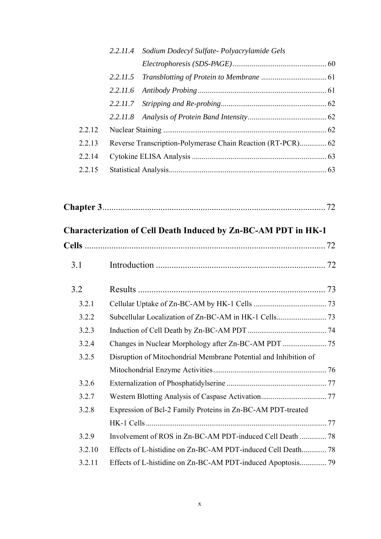|        | 2.2.11.4 Sodium Dodecyl Sulfate-Polyacrylamide Gels         |  |
|--------|-------------------------------------------------------------|--|
|        |                                                             |  |
|        | 2.2.11.5                                                    |  |
|        | 2.2.11.6                                                    |  |
|        |                                                             |  |
|        |                                                             |  |
| 2.2.12 |                                                             |  |
| 2.2.13 | Reverse Transcription-Polymerase Chain Reaction (RT-PCR) 62 |  |
| 2.2.14 |                                                             |  |
| 2.2.15 |                                                             |  |

|--|

## **Characterization of Cell Death Induced by Zn-BC-AM PDT in HK-1**

| 3.1    |                                                                  |  |
|--------|------------------------------------------------------------------|--|
| 3.2    |                                                                  |  |
| 3.2.1  |                                                                  |  |
| 3.2.2  |                                                                  |  |
| 3.2.3  |                                                                  |  |
| 3.2.4  |                                                                  |  |
| 3.2.5  | Disruption of Mitochondrial Membrane Potential and Inhibition of |  |
|        |                                                                  |  |
| 3.2.6  |                                                                  |  |
| 3.2.7  |                                                                  |  |
| 3.2.8  | Expression of Bcl-2 Family Proteins in Zn-BC-AM PDT-treated      |  |
|        |                                                                  |  |
| 3.2.9  |                                                                  |  |
| 3.2.10 |                                                                  |  |
| 3.2.11 |                                                                  |  |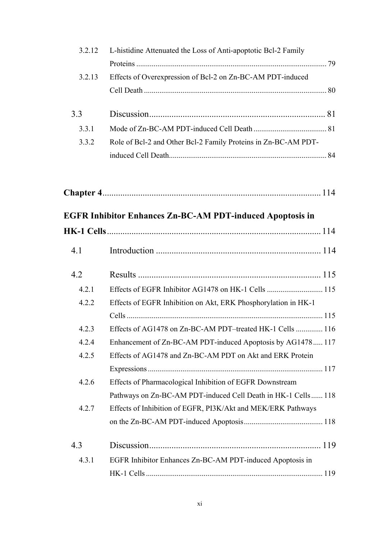| 3.2.12 | L-histidine Attenuated the Loss of Anti-apoptotic Bcl-2 Family   |  |
|--------|------------------------------------------------------------------|--|
|        |                                                                  |  |
| 3.2.13 | Effects of Overexpression of Bcl-2 on Zn-BC-AM PDT-induced       |  |
|        |                                                                  |  |
| 3.3    |                                                                  |  |
| 3.3.1  |                                                                  |  |
| 3.3.2  | Role of Bcl-2 and Other Bcl-2 Family Proteins in Zn-BC-AM PDT-   |  |
|        |                                                                  |  |
|        |                                                                  |  |
|        | <b>EGFR Inhibitor Enhances Zn-BC-AM PDT-induced Apoptosis in</b> |  |
|        |                                                                  |  |

| 4.1   |                                                                |
|-------|----------------------------------------------------------------|
| 4.2   |                                                                |
| 4.2.1 |                                                                |
| 4.2.2 | Effects of EGFR Inhibition on Akt, ERK Phosphorylation in HK-1 |
|       |                                                                |
| 4.2.3 | Effects of AG1478 on Zn-BC-AM PDT-treated HK-1 Cells  116      |
| 4.2.4 | Enhancement of Zn-BC-AM PDT-induced Apoptosis by AG1478117     |
| 4.2.5 | Effects of AG1478 and Zn-BC-AM PDT on Akt and ERK Protein      |
|       |                                                                |
| 4.2.6 | Effects of Pharmacological Inhibition of EGFR Downstream       |
|       | Pathways on Zn-BC-AM PDT-induced Cell Death in HK-1 Cells 118  |
| 4.2.7 | Effects of Inhibition of EGFR, PI3K/Akt and MEK/ERK Pathways   |
|       |                                                                |
| 4.3   |                                                                |
| 4.3.1 | EGFR Inhibitor Enhances Zn-BC-AM PDT-induced Apoptosis in      |
|       |                                                                |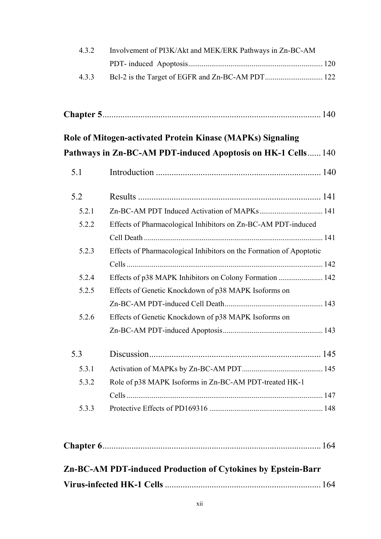| 4.3.2 | Involvement of PI3K/Akt and MEK/ERK Pathways in Zn-BC-AM            |  |
|-------|---------------------------------------------------------------------|--|
|       |                                                                     |  |
| 4.3.3 |                                                                     |  |
|       |                                                                     |  |
|       | Role of Mitogen-activated Protein Kinase (MAPKs) Signaling          |  |
|       | Pathways in Zn-BC-AM PDT-induced Apoptosis on HK-1 Cells 140        |  |
| 5.1   |                                                                     |  |
| 5.2   |                                                                     |  |
| 5.2.1 |                                                                     |  |
| 5.2.2 | Effects of Pharmacological Inhibitors on Zn-BC-AM PDT-induced       |  |
|       |                                                                     |  |
| 5.2.3 | Effects of Pharmacological Inhibitors on the Formation of Apoptotic |  |
|       |                                                                     |  |
| 5.2.4 | Effects of p38 MAPK Inhibitors on Colony Formation  142             |  |
| 5.2.5 | Effects of Genetic Knockdown of p38 MAPK Isoforms on                |  |
|       |                                                                     |  |
| 5.2.6 | Effects of Genetic Knockdown of p38 MAPK Isoforms on                |  |
|       |                                                                     |  |
| 5.3   |                                                                     |  |
| 5.3.1 |                                                                     |  |
| 5.3.2 | Role of p38 MAPK Isoforms in Zn-BC-AM PDT-treated HK-1              |  |
|       |                                                                     |  |
| 5.3.3 |                                                                     |  |
|       |                                                                     |  |
|       |                                                                     |  |

| Zn-BC-AM PDT-induced Production of Cytokines by Epstein-Barr |  |
|--------------------------------------------------------------|--|
|                                                              |  |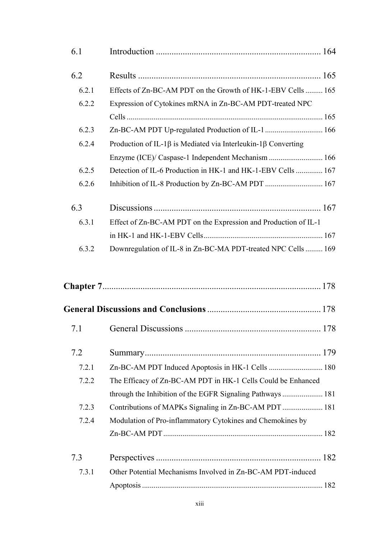| 6.1   |                                                                             |  |
|-------|-----------------------------------------------------------------------------|--|
| 6.2   |                                                                             |  |
| 6.2.1 | Effects of Zn-BC-AM PDT on the Growth of HK-1-EBV Cells  165                |  |
| 6.2.2 | Expression of Cytokines mRNA in Zn-BC-AM PDT-treated NPC                    |  |
|       |                                                                             |  |
| 6.2.3 | Zn-BC-AM PDT Up-regulated Production of IL-1  166                           |  |
| 6.2.4 | Production of IL-1 $\beta$ is Mediated via Interleukin-1 $\beta$ Converting |  |
|       | Enzyme (ICE)/ Caspase-1 Independent Mechanism  166                          |  |
| 6.2.5 | Detection of IL-6 Production in HK-1 and HK-1-EBV Cells  167                |  |
| 6.2.6 | Inhibition of IL-8 Production by Zn-BC-AM PDT  167                          |  |
| 6.3   |                                                                             |  |
| 6.3.1 | Effect of Zn-BC-AM PDT on the Expression and Production of IL-1             |  |
|       |                                                                             |  |
| 6.3.2 | Downregulation of IL-8 in Zn-BC-MA PDT-treated NPC Cells  169               |  |
|       |                                                                             |  |
|       |                                                                             |  |
|       |                                                                             |  |
| 7.2   |                                                                             |  |
| 7.2.1 |                                                                             |  |
| 7.2.2 | The Efficacy of Zn-BC-AM PDT in HK-1 Cells Could be Enhanced                |  |
|       |                                                                             |  |
| 7.2.3 | Contributions of MAPKs Signaling in Zn-BC-AM PDT  181                       |  |

xiii

7.3 Perspectives .......................................................................... 182

7.3.1 Other Potential Mechanisms Involved in Zn-BC-AM PDT-induced

7.2.4 Modulation of Pro-inflammatory Cytokines and Chemokines by

Zn-BC-AM PDT................................................................................... 182

Apoptosis .............................................................................................. 182